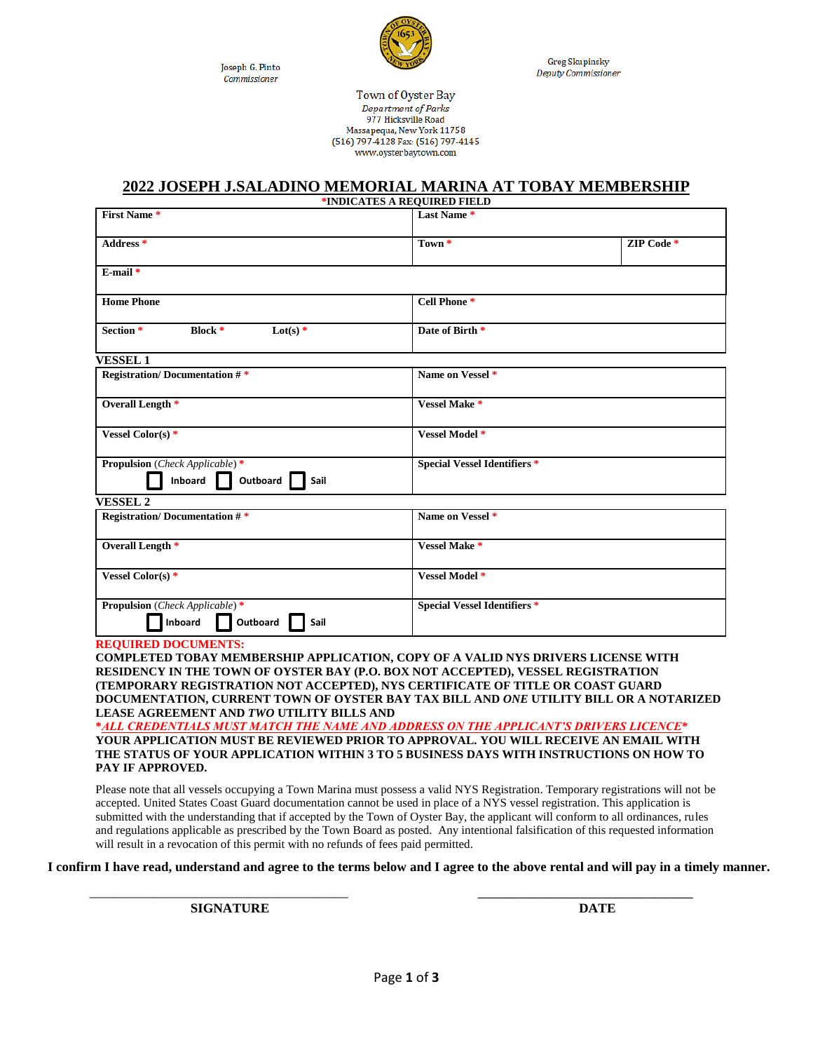Joseph G. Pinto Commissioner



**Greg Skupinsky** Deputy Commissioner

Town of Oyster Bay Department of Parks 977 Hicksville Road Massapequa, New York 11758 (516) 797-4128 Fax: (516) 797-4145 www.oysterbaytown.com

## **2022 JOSEPH J.SALADINO MEMORIAL MARINA AT TOBAY MEMBERSHIP**

|                                                                                                                                                                                                                                                                                      | *INDICATES A REQUIRED FIELD         |            |  |
|--------------------------------------------------------------------------------------------------------------------------------------------------------------------------------------------------------------------------------------------------------------------------------------|-------------------------------------|------------|--|
| <b>First Name *</b>                                                                                                                                                                                                                                                                  | Last Name*                          |            |  |
| Address <sup>*</sup>                                                                                                                                                                                                                                                                 | Town *                              | ZIP Code * |  |
| $E$ -mail $*$                                                                                                                                                                                                                                                                        |                                     |            |  |
| <b>Home Phone</b>                                                                                                                                                                                                                                                                    | Cell Phone <sup>*</sup>             |            |  |
| Section *<br><b>Block</b> $*$<br>Lot(s) $*$                                                                                                                                                                                                                                          | Date of Birth *                     |            |  |
| <b>VESSEL1</b>                                                                                                                                                                                                                                                                       |                                     |            |  |
| <b>Registration/Documentation #*</b>                                                                                                                                                                                                                                                 | Name on Vessel <sup>*</sup>         |            |  |
| Overall Length *                                                                                                                                                                                                                                                                     | Vessel Make*                        |            |  |
| Vessel Color(s)*                                                                                                                                                                                                                                                                     | Vessel Model *                      |            |  |
| <b>Propulsion</b> ( <i>Check Applicable</i> ) *<br>Inboard<br>Outboard<br>Sail                                                                                                                                                                                                       | <b>Special Vessel Identifiers *</b> |            |  |
| <b>VESSEL 2</b>                                                                                                                                                                                                                                                                      |                                     |            |  |
| <b>Registration/Documentation #*</b>                                                                                                                                                                                                                                                 | Name on Vessel <sup>*</sup>         |            |  |
| Overall Length *                                                                                                                                                                                                                                                                     | <b>Vessel Make *</b>                |            |  |
| Vessel Color(s) *                                                                                                                                                                                                                                                                    | Vessel Model *                      |            |  |
| <b>Propulsion</b> ( <i>Check Applicable</i> ) <sup>*</sup><br>Inboard<br>Outboard<br>Sail                                                                                                                                                                                            | <b>Special Vessel Identifiers *</b> |            |  |
| <b>REQUIRED DOCUMENTS:</b><br>COMPLETED TOBAY MEMBERSHIP APPLICATION, COPY OF A VALID NYS DRIVERS LICENSE WITH<br>RESIDENCY IN THE TOWN OF OYSTER BAY (P.O. BOX NOT ACCEPTED), VESSEL REGISTRATION<br>(TEMPORARY REGISTRATION NOT ACCEPTED), NYS CERTIFICATE OF TITLE OR COAST GUARD |                                     |            |  |
| DOCUMENTATION, CURRENT TOWN OF OYSTER BAY TAX BILL AND ONE UTILITY BILL OR A NOTARIZED<br>LEASE AGREEMENT AND TWO UTILITY BILLS AND<br>* 111. CDEDENTU 11 G MHAT M 1TCH THE M 1ME. IND. IDDDEGG ON THE ADDI IC INTHO DDH/EDG I ICENCE*                                               |                                     |            |  |

**\****ALL CREDENTIALS MUST MATCH THE NAME AND ADDRESS ON THE APPLICANT'S DRIVERS LICENCE***\* YOUR APPLICATION MUST BE REVIEWED PRIOR TO APPROVAL. YOU WILL RECEIVE AN EMAIL WITH THE STATUS OF YOUR APPLICATION WITHIN 3 TO 5 BUSINESS DAYS WITH INSTRUCTIONS ON HOW TO PAY IF APPROVED.**

Please note that all vessels occupying a Town Marina must possess a valid NYS Registration. Temporary registrations will not be accepted. United States Coast Guard documentation cannot be used in place of a NYS vessel registration. This application is submitted with the understanding that if accepted by the Town of Oyster Bay, the applicant will conform to all ordinances, rules and regulations applicable as prescribed by the Town Board as posted. Any intentional falsification of this requested information will result in a revocation of this permit with no refunds of fees paid permitted.

**I confirm I have read, understand and agree to the terms below and I agree to the above rental and will pay in a timely manner.**

**SIGNATURE DATE**

\_\_\_\_\_\_\_\_\_\_\_\_\_\_\_\_\_\_\_\_\_\_\_\_\_\_\_\_\_\_\_\_\_\_\_\_\_\_\_ \_\_\_\_\_\_\_\_\_\_\_\_\_\_\_\_\_\_\_\_\_\_\_\_\_\_\_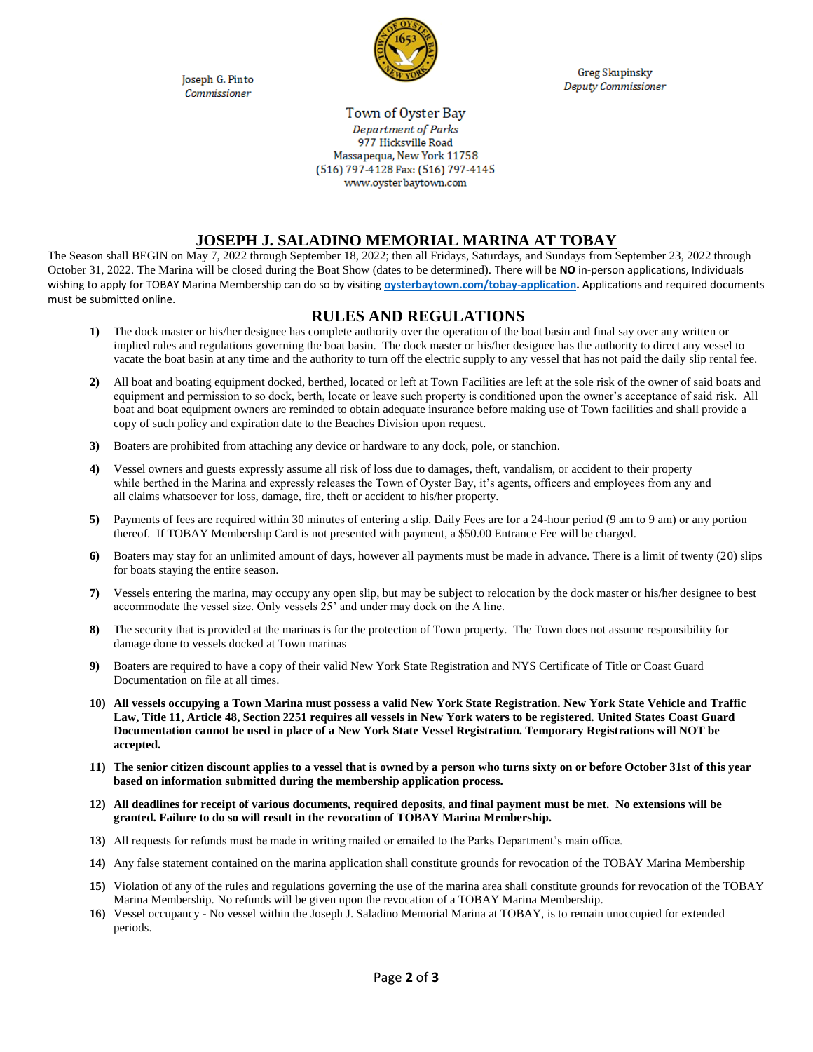Joseph G. Pinto Commissioner



**Greg Skupinsky** Deputy Commissioner

## Town of Oyster Bay Department of Parks 977 Hicksville Road Massapequa, New York 11758 (516) 797-4128 Fax: (516) 797-4145 www.oysterbaytown.com

## **JOSEPH J. SALADINO MEMORIAL MARINA AT TOBAY**

The Season shall BEGIN on May 7, 2022 through September 18, 2022; then all Fridays, Saturdays, and Sundays from September 23, 2022 through October 31, 2022. The Marina will be closed during the Boat Show (dates to be determined). There will be **NO** in-person applications, Individuals wishing to apply for TOBAY Marina Membership can do so by visiting **[oysterbaytown.com/tobay-application.](http://www.oysterbaytown.com/tobay-application)** Applications and required documents must be submitted online.

## **RULES AND REGULATIONS**

- **1)** The dock master or his/her designee has complete authority over the operation of the boat basin and final say over any written or implied rules and regulations governing the boat basin. The dock master or his/her designee has the authority to direct any vessel to vacate the boat basin at any time and the authority to turn off the electric supply to any vessel that has not paid the daily slip rental fee.
- **2)** All boat and boating equipment docked, berthed, located or left at Town Facilities are left at the sole risk of the owner of said boats and equipment and permission to so dock, berth, locate or leave such property is conditioned upon the owner's acceptance of said risk. All boat and boat equipment owners are reminded to obtain adequate insurance before making use of Town facilities and shall provide a copy of such policy and expiration date to the Beaches Division upon request.
- **3)** Boaters are prohibited from attaching any device or hardware to any dock, pole, or stanchion.
- **4)** Vessel owners and guests expressly assume all risk of loss due to damages, theft, vandalism, or accident to their property while berthed in the Marina and expressly releases the Town of Oyster Bay, it's agents, officers and employees from any and all claims whatsoever for loss, damage, fire, theft or accident to his/her property.
- **5)** Payments of fees are required within 30 minutes of entering a slip. Daily Fees are for a 24-hour period (9 am to 9 am) or any portion thereof. If TOBAY Membership Card is not presented with payment, a \$50.00 Entrance Fee will be charged.
- **6)** Boaters may stay for an unlimited amount of days, however all payments must be made in advance. There is a limit of twenty (20) slips for boats staying the entire season.
- **7)** Vessels entering the marina, may occupy any open slip, but may be subject to relocation by the dock master or his/her designee to best accommodate the vessel size. Only vessels 25' and under may dock on the A line.
- **8)** The security that is provided at the marinas is for the protection of Town property. The Town does not assume responsibility for damage done to vessels docked at Town marinas
- **9)** Boaters are required to have a copy of their valid New York State Registration and NYS Certificate of Title or Coast Guard Documentation on file at all times.
- **10) All vessels occupying a Town Marina must possess a valid New York State Registration. New York State Vehicle and Traffic Law, Title 11, Article 48, Section 2251 requires all vessels in New York waters to be registered. United States Coast Guard Documentation cannot be used in place of a New York State Vessel Registration. Temporary Registrations will NOT be accepted.**
- **11) The senior citizen discount applies to a vessel that is owned by a person who turns sixty on or before October 31st of this year based on information submitted during the membership application process.**
- **12) All deadlines for receipt of various documents, required deposits, and final payment must be met. No extensions will be granted. Failure to do so will result in the revocation of TOBAY Marina Membership.**
- **13)** All requests for refunds must be made in writing mailed or emailed to the Parks Department's main office.
- **14)** Any false statement contained on the marina application shall constitute grounds for revocation of the TOBAY Marina Membership
- **15)** Violation of any of the rules and regulations governing the use of the marina area shall constitute grounds for revocation of the TOBAY Marina Membership. No refunds will be given upon the revocation of a TOBAY Marina Membership.
- **16)** Vessel occupancy No vessel within the Joseph J. Saladino Memorial Marina at TOBAY, is to remain unoccupied for extended periods.